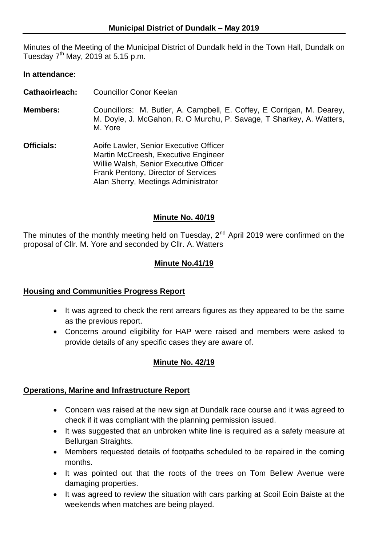Minutes of the Meeting of the Municipal District of Dundalk held in the Town Hall, Dundalk on Tuesday  $7<sup>th</sup>$  May, 2019 at 5.15 p.m.

### **In attendance:**

- **Cathaoirleach:** Councillor Conor Keelan
- **Members:** Councillors: M. Butler, A. Campbell, E. Coffey, E Corrigan, M. Dearey, M. Doyle, J. McGahon, R. O Murchu, P. Savage, T Sharkey, A. Watters, M. Yore
- **Officials:** Aoife Lawler, Senior Executive Officer Martin McCreesh, Executive Engineer Willie Walsh, Senior Executive Officer Frank Pentony, Director of Services Alan Sherry, Meetings Administrator

## **Minute No. 40/19**

The minutes of the monthly meeting held on Tuesday,  $2^{nd}$  April 2019 were confirmed on the proposal of Cllr. M. Yore and seconded by Cllr. A. Watters

### **Minute No.41/19**

### **Housing and Communities Progress Report**

- It was agreed to check the rent arrears figures as they appeared to be the same as the previous report.
- Concerns around eligibility for HAP were raised and members were asked to provide details of any specific cases they are aware of.

# **Minute No. 42/19**

### **Operations, Marine and Infrastructure Report**

- Concern was raised at the new sign at Dundalk race course and it was agreed to check if it was compliant with the planning permission issued.
- It was suggested that an unbroken white line is required as a safety measure at Bellurgan Straights.
- Members requested details of footpaths scheduled to be repaired in the coming months.
- It was pointed out that the roots of the trees on Tom Bellew Avenue were damaging properties.
- It was agreed to review the situation with cars parking at Scoil Eoin Baiste at the weekends when matches are being played.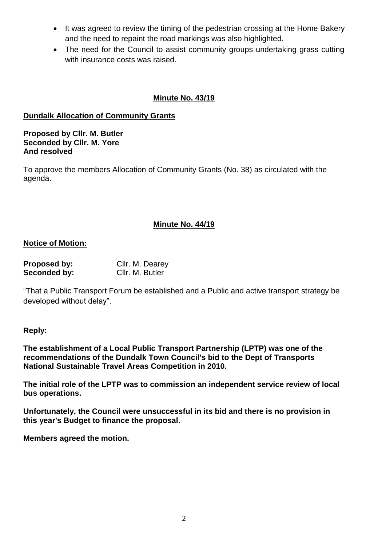- It was agreed to review the timing of the pedestrian crossing at the Home Bakery and the need to repaint the road markings was also highlighted.
- The need for the Council to assist community groups undertaking grass cutting with insurance costs was raised.

# **Minute No. 43/19**

## **Dundalk Allocation of Community Grants**

**Proposed by Cllr. M. Butler Seconded by Cllr. M. Yore And resolved**

To approve the members Allocation of Community Grants (No. 38) as circulated with the agenda.

## **Minute No. 44/19**

### **Notice of Motion:**

| <b>Proposed by:</b> | Cllr. M. Dearey |
|---------------------|-----------------|
| Seconded by:        | Cllr. M. Butler |

"That a Public Transport Forum be established and a Public and active transport strategy be developed without delay".

### **Reply:**

**The establishment of a Local Public Transport Partnership (LPTP) was one of the recommendations of the Dundalk Town Council's bid to the Dept of Transports National Sustainable Travel Areas Competition in 2010.**

**The initial role of the LPTP was to commission an independent service review of local bus operations.**

**Unfortunately, the Council were unsuccessful in its bid and there is no provision in this year's Budget to finance the proposal**.

**Members agreed the motion.**